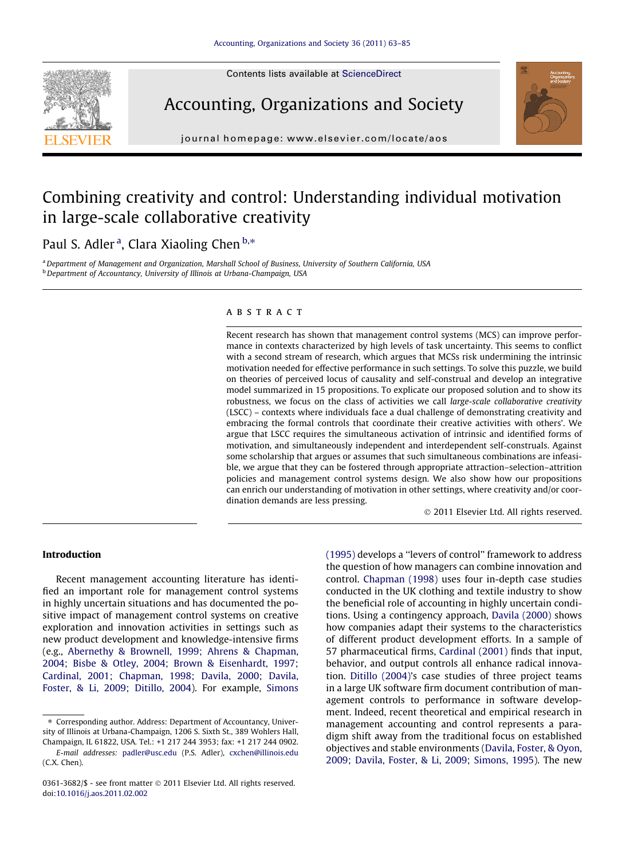Contents lists available at [ScienceDirect](http://www.sciencedirect.com/science/journal/03613682)







journal homepage: [www.elsevier.com/locate/aos](http://www.elsevier.com/locate/aos)

## Combining creativity and control: Understanding individual motivation in large-scale collaborative creativity

### Paul S. Adler<sup>a</sup>, Clara Xiaoling Chen <sup>b,\*</sup>

a Department of Management and Organization, Marshall School of Business, University of Southern California, USA **b** Department of Accountancy, University of Illinois at Urbana-Champaign, USA

#### ARSTRACT

Recent research has shown that management control systems (MCS) can improve performance in contexts characterized by high levels of task uncertainty. This seems to conflict with a second stream of research, which argues that MCSs risk undermining the intrinsic motivation needed for effective performance in such settings. To solve this puzzle, we build on theories of perceived locus of causality and self-construal and develop an integrative model summarized in 15 propositions. To explicate our proposed solution and to show its robustness, we focus on the class of activities we call large-scale collaborative creativity (LSCC) – contexts where individuals face a dual challenge of demonstrating creativity and embracing the formal controls that coordinate their creative activities with others'. We argue that LSCC requires the simultaneous activation of intrinsic and identified forms of motivation, and simultaneously independent and interdependent self-construals. Against some scholarship that argues or assumes that such simultaneous combinations are infeasible, we argue that they can be fostered through appropriate attraction–selection–attrition policies and management control systems design. We also show how our propositions can enrich our understanding of motivation in other settings, where creativity and/or coordination demands are less pressing.

- 2011 Elsevier Ltd. All rights reserved.

#### Introduction

Recent management accounting literature has identified an important role for management control systems in highly uncertain situations and has documented the positive impact of management control systems on creative exploration and innovation activities in settings such as new product development and knowledge-intensive firms (e.g., [Abernethy & Brownell, 1999; Ahrens & Chapman,](#page--1-0) [2004; Bisbe & Otley, 2004; Brown & Eisenhardt, 1997;](#page--1-0) [Cardinal, 2001; Chapman, 1998; Davila, 2000; Davila,](#page--1-0) [Foster, & Li, 2009; Ditillo, 2004](#page--1-0)). For example, [Simons](#page--1-0)

[\(1995\)](#page--1-0) develops a ''levers of control'' framework to address the question of how managers can combine innovation and control. [Chapman \(1998\)](#page--1-0) uses four in-depth case studies conducted in the UK clothing and textile industry to show the beneficial role of accounting in highly uncertain conditions. Using a contingency approach, [Davila \(2000\)](#page--1-0) shows how companies adapt their systems to the characteristics of different product development efforts. In a sample of 57 pharmaceutical firms, [Cardinal \(2001\)](#page--1-0) finds that input, behavior, and output controls all enhance radical innovation. [Ditillo \(2004\)](#page--1-0)'s case studies of three project teams in a large UK software firm document contribution of management controls to performance in software development. Indeed, recent theoretical and empirical research in management accounting and control represents a paradigm shift away from the traditional focus on established objectives and stable environments [\(Davila, Foster, & Oyon,](#page--1-0) [2009; Davila, Foster, & Li, 2009; Simons, 1995\)](#page--1-0). The new

<sup>⇑</sup> Corresponding author. Address: Department of Accountancy, University of Illinois at Urbana-Champaign, 1206 S. Sixth St., 389 Wohlers Hall, Champaign, IL 61822, USA. Tel.: +1 217 244 3953; fax: +1 217 244 0902. E-mail addresses: [padler@usc.edu](mailto:padler@usc.edu) (P.S. Adler), [cxchen@illinois.edu](mailto:cxchen@illinois.edu)

<sup>(</sup>C.X. Chen).

<sup>0361-3682/\$ -</sup> see front matter © 2011 Elsevier Ltd. All rights reserved. doi:[10.1016/j.aos.2011.02.002](http://dx.doi.org/10.1016/j.aos.2011.02.002)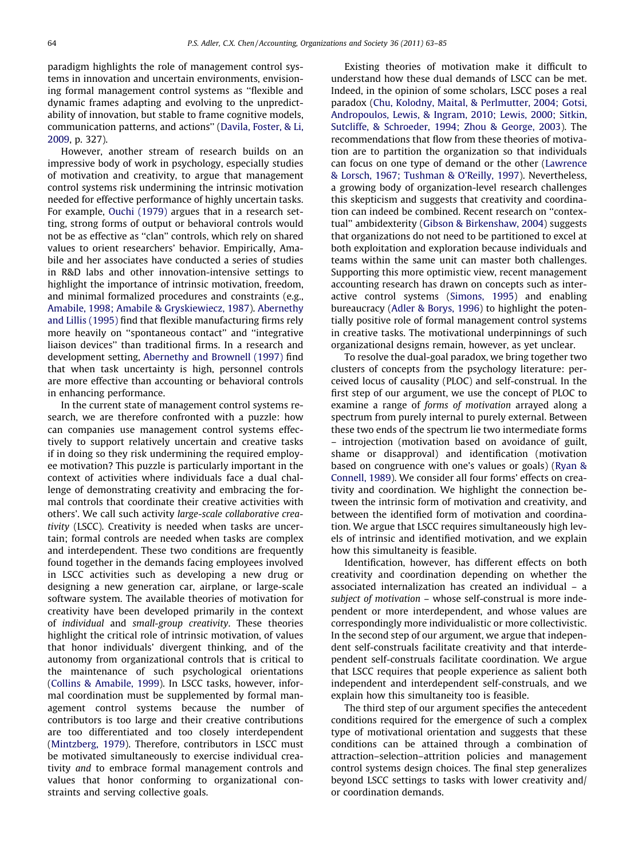paradigm highlights the role of management control systems in innovation and uncertain environments, envisioning formal management control systems as ''flexible and dynamic frames adapting and evolving to the unpredictability of innovation, but stable to frame cognitive models, communication patterns, and actions'' ([Davila, Foster, & Li,](#page--1-0) [2009](#page--1-0), p. 327).

However, another stream of research builds on an impressive body of work in psychology, especially studies of motivation and creativity, to argue that management control systems risk undermining the intrinsic motivation needed for effective performance of highly uncertain tasks. For example, [Ouchi \(1979\)](#page--1-0) argues that in a research setting, strong forms of output or behavioral controls would not be as effective as ''clan'' controls, which rely on shared values to orient researchers' behavior. Empirically, Amabile and her associates have conducted a series of studies in R&D labs and other innovation-intensive settings to highlight the importance of intrinsic motivation, freedom, and minimal formalized procedures and constraints (e.g., [Amabile, 1998; Amabile & Gryskiewiecz, 1987\)](#page--1-0). [Abernethy](#page--1-0) [and Lillis \(1995\)](#page--1-0) find that flexible manufacturing firms rely more heavily on ''spontaneous contact'' and ''integrative liaison devices'' than traditional firms. In a research and development setting, [Abernethy and Brownell \(1997\)](#page--1-0) find that when task uncertainty is high, personnel controls are more effective than accounting or behavioral controls in enhancing performance.

In the current state of management control systems research, we are therefore confronted with a puzzle: how can companies use management control systems effectively to support relatively uncertain and creative tasks if in doing so they risk undermining the required employee motivation? This puzzle is particularly important in the context of activities where individuals face a dual challenge of demonstrating creativity and embracing the formal controls that coordinate their creative activities with others'. We call such activity large-scale collaborative creativity (LSCC). Creativity is needed when tasks are uncertain; formal controls are needed when tasks are complex and interdependent. These two conditions are frequently found together in the demands facing employees involved in LSCC activities such as developing a new drug or designing a new generation car, airplane, or large-scale software system. The available theories of motivation for creativity have been developed primarily in the context of individual and small-group creativity. These theories highlight the critical role of intrinsic motivation, of values that honor individuals' divergent thinking, and of the autonomy from organizational controls that is critical to the maintenance of such psychological orientations [\(Collins & Amabile, 1999\)](#page--1-0). In LSCC tasks, however, informal coordination must be supplemented by formal management control systems because the number of contributors is too large and their creative contributions are too differentiated and too closely interdependent [\(Mintzberg, 1979](#page--1-0)). Therefore, contributors in LSCC must be motivated simultaneously to exercise individual creativity and to embrace formal management controls and values that honor conforming to organizational constraints and serving collective goals.

Existing theories of motivation make it difficult to understand how these dual demands of LSCC can be met. Indeed, in the opinion of some scholars, LSCC poses a real paradox ([Chu, Kolodny, Maital, & Perlmutter, 2004; Gotsi,](#page--1-0) [Andropoulos, Lewis, & Ingram, 2010; Lewis, 2000; Sitkin,](#page--1-0) [Sutcliffe, & Schroeder, 1994; Zhou & George, 2003\)](#page--1-0). The recommendations that flow from these theories of motivation are to partition the organization so that individuals can focus on one type of demand or the other [\(Lawrence](#page--1-0) [& Lorsch, 1967; Tushman & O'Reilly, 1997\)](#page--1-0). Nevertheless, a growing body of organization-level research challenges this skepticism and suggests that creativity and coordination can indeed be combined. Recent research on ''contextual'' ambidexterity ([Gibson & Birkenshaw, 2004\)](#page--1-0) suggests that organizations do not need to be partitioned to excel at both exploitation and exploration because individuals and teams within the same unit can master both challenges. Supporting this more optimistic view, recent management accounting research has drawn on concepts such as interactive control systems [\(Simons, 1995](#page--1-0)) and enabling bureaucracy [\(Adler & Borys, 1996](#page--1-0)) to highlight the potentially positive role of formal management control systems in creative tasks. The motivational underpinnings of such organizational designs remain, however, as yet unclear.

To resolve the dual-goal paradox, we bring together two clusters of concepts from the psychology literature: perceived locus of causality (PLOC) and self-construal. In the first step of our argument, we use the concept of PLOC to examine a range of forms of motivation arrayed along a spectrum from purely internal to purely external. Between these two ends of the spectrum lie two intermediate forms – introjection (motivation based on avoidance of guilt, shame or disapproval) and identification (motivation based on congruence with one's values or goals) ([Ryan &](#page--1-0) [Connell, 1989](#page--1-0)). We consider all four forms' effects on creativity and coordination. We highlight the connection between the intrinsic form of motivation and creativity, and between the identified form of motivation and coordination. We argue that LSCC requires simultaneously high levels of intrinsic and identified motivation, and we explain how this simultaneity is feasible.

Identification, however, has different effects on both creativity and coordination depending on whether the associated internalization has created an individual – a subject of motivation – whose self-construal is more independent or more interdependent, and whose values are correspondingly more individualistic or more collectivistic. In the second step of our argument, we argue that independent self-construals facilitate creativity and that interdependent self-construals facilitate coordination. We argue that LSCC requires that people experience as salient both independent and interdependent self-construals, and we explain how this simultaneity too is feasible.

The third step of our argument specifies the antecedent conditions required for the emergence of such a complex type of motivational orientation and suggests that these conditions can be attained through a combination of attraction–selection–attrition policies and management control systems design choices. The final step generalizes beyond LSCC settings to tasks with lower creativity and/ or coordination demands.